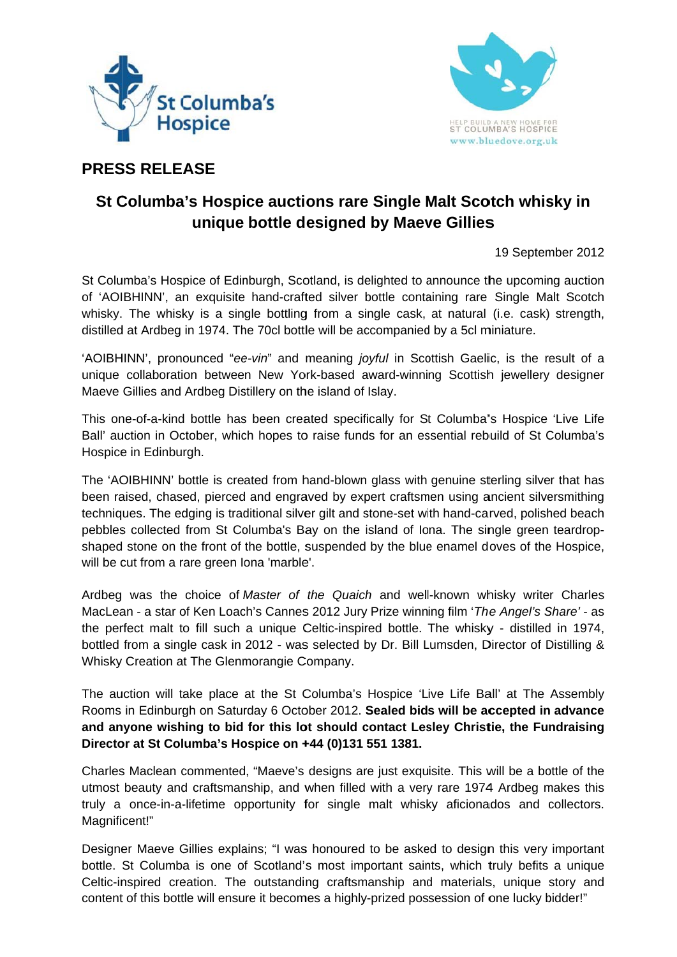



# **PRESS RELEASE**

# St Columba's Hospice auctions rare Single Malt Scotch whisky in unique bottle designed by Maeve Gillies

19 September 2012

St Columba's Hospice of Edinburgh, Scotland, is delighted to announce the upcoming auction of 'AOIBHINN', an exquisite hand-crafted silver bottle containing rare Single Malt Scotch whisky. The whisky is a single bottling from a single cask, at natural (i.e. cask) strength, distilled at Ardbeg in 1974. The 70cl bottle will be accompanied by a 5cl miniature.

'AOIBHINN', pronounced "ee-vin" and meaning joyful in Scottish Gaelic, is the result of a unique collaboration between New York-based award-winning Scottish jewellery designer Maeve Gillies and Ardbeg Distillery on the island of Islay.

This one-of-a-kind bottle has been created specifically for St Columba's Hospice 'Live Life Ball' auction in October, which hopes to raise funds for an essential rebuild of St Columba's Hospice in Edinburgh.

The 'AOIBHINN' bottle is created from hand-blown glass with genuine sterling silver that has been raised, chased, pierced and engraved by expert craftsmen using ancient silversmithing techniques. The edging is traditional silver gilt and stone-set with hand-carved, polished beach pebbles collected from St Columba's Bay on the island of lona. The single green teardropshaped stone on the front of the bottle, suspended by the blue enamel doves of the Hospice, will be cut from a rare green lona 'marble'.

Ardbeg was the choice of Master of the Quaich and well-known whisky writer Charles MacLean - a star of Ken Loach's Cannes 2012 Jury Prize winning film 'The Angel's Share' - as the perfect malt to fill such a unique Celtic-inspired bottle. The whisky - distilled in 1974. bottled from a single cask in 2012 - was selected by Dr. Bill Lumsden, Director of Distilling & Whisky Creation at The Glenmorangie Company.

The auction will take place at the St Columba's Hospice 'Live Life Ball' at The Assembly Rooms in Edinburgh on Saturday 6 October 2012. Sealed bids will be accepted in advance and anyone wishing to bid for this lot should contact Lesley Christie, the Fundraising Director at St Columba's Hospice on +44 (0)131 551 1381.

Charles Maclean commented, "Maeve's designs are just exquisite. This will be a bottle of the utmost beauty and craftsmanship, and when filled with a very rare 1974 Ardbeg makes this truly a once-in-a-lifetime opportunity for single malt whisky aficionados and collectors. Magnificent!"

Designer Maeve Gillies explains; "I was honoured to be asked to design this very important bottle. St Columba is one of Scotland's most important saints, which truly befits a unique Celtic-inspired creation. The outstanding craftsmanship and materials, unique story and content of this bottle will ensure it becomes a highly-prized possession of one lucky bidder!"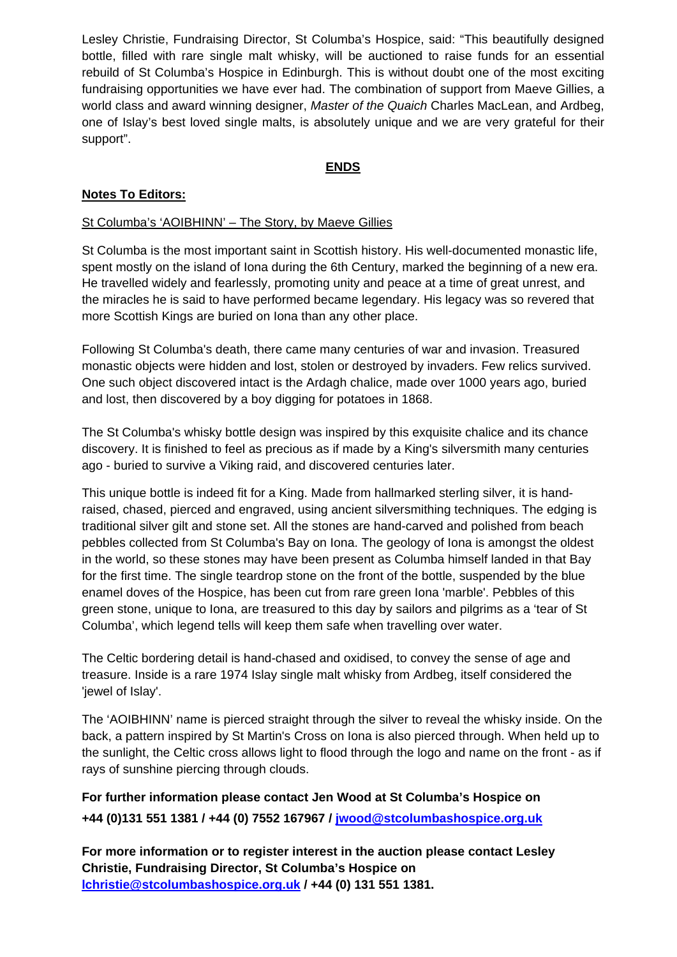Lesley Christie, Fundraising Director, St Columba's Hospice, said: "This beautifully designed bottle, filled with rare single malt whisky, will be auctioned to raise funds for an essential rebuild of St Columba's Hospice in Edinburgh. This is without doubt one of the most exciting fundraising opportunities we have ever had. The combination of support from Maeve Gillies, a world class and award winning designer, *Master of the Quaich* Charles MacLean, and Ardbeg, one of Islay's best loved single malts, is absolutely unique and we are very grateful for their support".

## **ENDS**

### **Notes To Editors:**

#### St Columba's 'AOIBHINN' – The Story, by Maeve Gillies

St Columba is the most important saint in Scottish history. His well-documented monastic life, spent mostly on the island of Iona during the 6th Century, marked the beginning of a new era. He travelled widely and fearlessly, promoting unity and peace at a time of great unrest, and the miracles he is said to have performed became legendary. His legacy was so revered that more Scottish Kings are buried on Iona than any other place.

Following St Columba's death, there came many centuries of war and invasion. Treasured monastic objects were hidden and lost, stolen or destroyed by invaders. Few relics survived. One such object discovered intact is the Ardagh chalice, made over 1000 years ago, buried and lost, then discovered by a boy digging for potatoes in 1868.

The St Columba's whisky bottle design was inspired by this exquisite chalice and its chance discovery. It is finished to feel as precious as if made by a King's silversmith many centuries ago - buried to survive a Viking raid, and discovered centuries later.

This unique bottle is indeed fit for a King. Made from hallmarked sterling silver, it is handraised, chased, pierced and engraved, using ancient silversmithing techniques. The edging is traditional silver gilt and stone set. All the stones are hand-carved and polished from beach pebbles collected from St Columba's Bay on Iona. The geology of Iona is amongst the oldest in the world, so these stones may have been present as Columba himself landed in that Bay for the first time. The single teardrop stone on the front of the bottle, suspended by the blue enamel doves of the Hospice, has been cut from rare green Iona 'marble'. Pebbles of this green stone, unique to Iona, are treasured to this day by sailors and pilgrims as a 'tear of St Columba', which legend tells will keep them safe when travelling over water.

The Celtic bordering detail is hand-chased and oxidised, to convey the sense of age and treasure. Inside is a rare 1974 Islay single malt whisky from Ardbeg, itself considered the 'jewel of Islay'.

The 'AOIBHINN' name is pierced straight through the silver to reveal the whisky inside. On the back, a pattern inspired by St Martin's Cross on Iona is also pierced through. When held up to the sunlight, the Celtic cross allows light to flood through the logo and name on the front - as if rays of sunshine piercing through clouds.

**For further information please contact Jen Wood at St Columba's Hospice on +44 (0)131 551 1381 / +44 (0) 7552 167967 / jwood@stcolumbashospice.org.uk** 

**For more information or to register interest in the auction please contact Lesley Christie, Fundraising Director, St Columba's Hospice on lchristie@stcolumbashospice.org.uk / +44 (0) 131 551 1381.**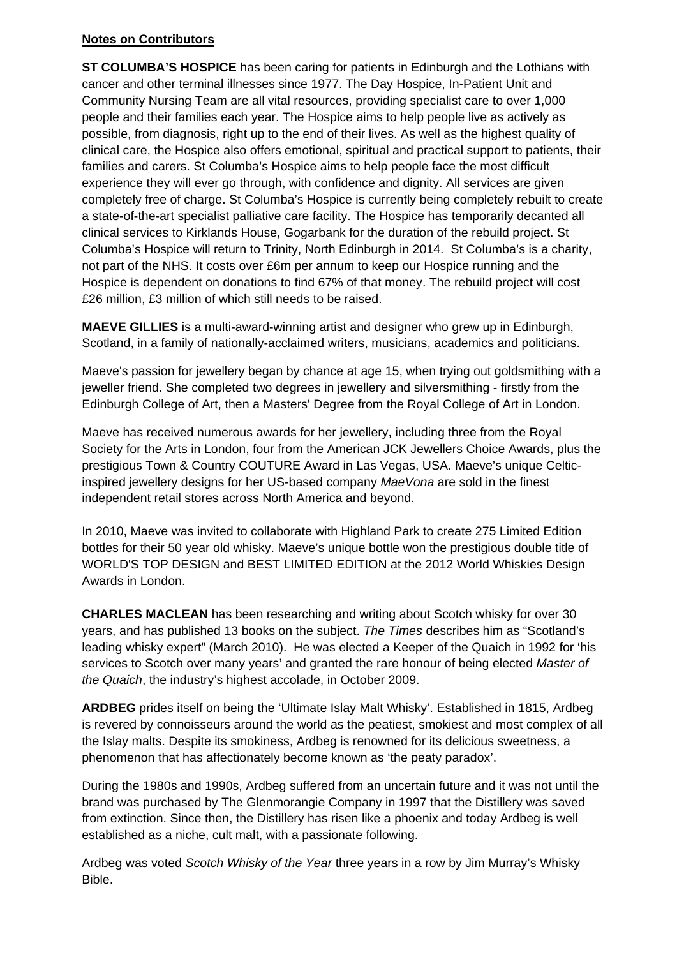#### **Notes on Contributors**

**ST COLUMBA'S HOSPICE** has been caring for patients in Edinburgh and the Lothians with cancer and other terminal illnesses since 1977. The Day Hospice, In-Patient Unit and Community Nursing Team are all vital resources, providing specialist care to over 1,000 people and their families each year. The Hospice aims to help people live as actively as possible, from diagnosis, right up to the end of their lives. As well as the highest quality of clinical care, the Hospice also offers emotional, spiritual and practical support to patients, their families and carers. St Columba's Hospice aims to help people face the most difficult experience they will ever go through, with confidence and dignity. All services are given completely free of charge. St Columba's Hospice is currently being completely rebuilt to create a state-of-the-art specialist palliative care facility. The Hospice has temporarily decanted all clinical services to Kirklands House, Gogarbank for the duration of the rebuild project. St Columba's Hospice will return to Trinity, North Edinburgh in 2014. St Columba's is a charity, not part of the NHS. It costs over £6m per annum to keep our Hospice running and the Hospice is dependent on donations to find 67% of that money. The rebuild project will cost £26 million, £3 million of which still needs to be raised.

**MAEVE GILLIES** is a multi-award-winning artist and designer who grew up in Edinburgh, Scotland, in a family of nationally-acclaimed writers, musicians, academics and politicians.

Maeve's passion for jewellery began by chance at age 15, when trying out goldsmithing with a jeweller friend. She completed two degrees in jewellery and silversmithing - firstly from the Edinburgh College of Art, then a Masters' Degree from the Royal College of Art in London.

Maeve has received numerous awards for her jewellery, including three from the Royal Society for the Arts in London, four from the American JCK Jewellers Choice Awards, plus the prestigious Town & Country COUTURE Award in Las Vegas, USA. Maeve's unique Celticinspired jewellery designs for her US-based company *MaeVona* are sold in the finest independent retail stores across North America and beyond.

In 2010, Maeve was invited to collaborate with Highland Park to create 275 Limited Edition bottles for their 50 year old whisky. Maeve's unique bottle won the prestigious double title of WORLD'S TOP DESIGN and BEST LIMITED EDITION at the 2012 World Whiskies Design Awards in London.

**CHARLES MACLEAN** has been researching and writing about Scotch whisky for over 30 years, and has published 13 books on the subject. *The Times* describes him as "Scotland's leading whisky expert" (March 2010). He was elected a Keeper of the Quaich in 1992 for 'his services to Scotch over many years' and granted the rare honour of being elected *Master of the Quaich*, the industry's highest accolade, in October 2009.

**ARDBEG** prides itself on being the 'Ultimate Islay Malt Whisky'. Established in 1815, Ardbeg is revered by connoisseurs around the world as the peatiest, smokiest and most complex of all the Islay malts. Despite its smokiness, Ardbeg is renowned for its delicious sweetness, a phenomenon that has affectionately become known as 'the peaty paradox'.

During the 1980s and 1990s, Ardbeg suffered from an uncertain future and it was not until the brand was purchased by The Glenmorangie Company in 1997 that the Distillery was saved from extinction. Since then, the Distillery has risen like a phoenix and today Ardbeg is well established as a niche, cult malt, with a passionate following.

Ardbeg was voted *Scotch Whisky of the Year* three years in a row by Jim Murray's Whisky Bible.